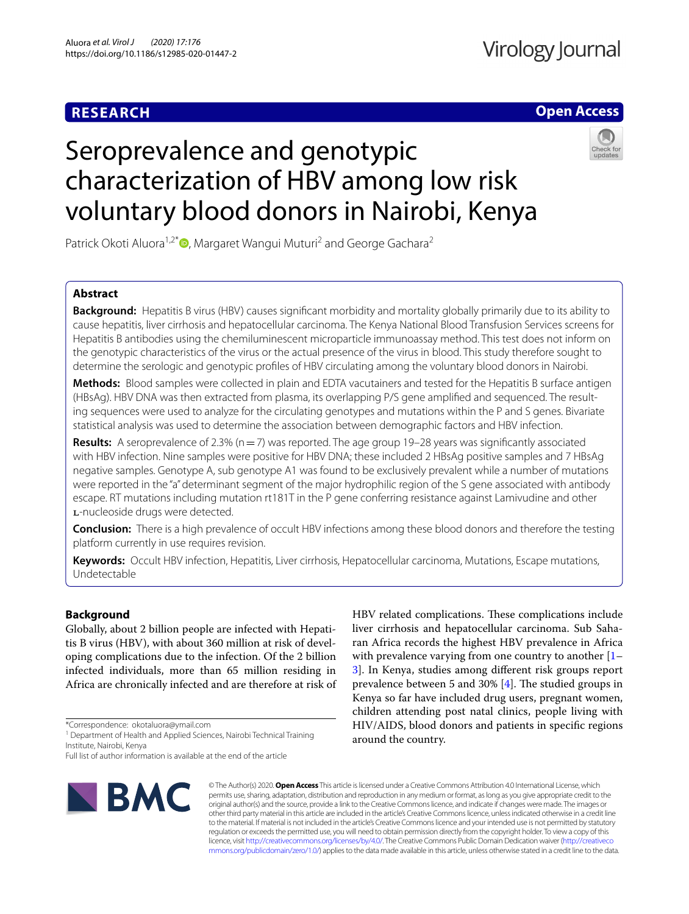# **RESEARCH**

# **Open Access**

# Seroprevalence and genotypic characterization of HBV among low risk voluntary blood donors in Nairobi, Kenya

Patrick Okoti Aluora<sup>1[,](http://orcid.org/0000-0002-8029-9916)2\*</sup><sup>D</sup>, Margaret Wangui Muturi<sup>2</sup> and George Gachara<sup>2</sup>

# **Abstract**

**Background:** Hepatitis B virus (HBV) causes signifcant morbidity and mortality globally primarily due to its ability to cause hepatitis, liver cirrhosis and hepatocellular carcinoma. The Kenya National Blood Transfusion Services screens for Hepatitis B antibodies using the chemiluminescent microparticle immunoassay method. This test does not inform on the genotypic characteristics of the virus or the actual presence of the virus in blood. This study therefore sought to determine the serologic and genotypic profles of HBV circulating among the voluntary blood donors in Nairobi.

**Methods:** Blood samples were collected in plain and EDTA vacutainers and tested for the Hepatitis B surface antigen (HBsAg). HBV DNA was then extracted from plasma, its overlapping P/S gene amplifed and sequenced. The resulting sequences were used to analyze for the circulating genotypes and mutations within the P and S genes. Bivariate statistical analysis was used to determine the association between demographic factors and HBV infection.

**Results:** A seroprevalence of 2.3% (n = 7) was reported. The age group 19–28 years was significantly associated with HBV infection. Nine samples were positive for HBV DNA; these included 2 HBsAg positive samples and 7 HBsAg negative samples. Genotype A, sub genotype A1 was found to be exclusively prevalent while a number of mutations were reported in the "a" determinant segment of the major hydrophilic region of the S gene associated with antibody escape. RT mutations including mutation rt181T in the P gene conferring resistance against Lamivudine and other ʟ-nucleoside drugs were detected.

**Conclusion:** There is a high prevalence of occult HBV infections among these blood donors and therefore the testing platform currently in use requires revision.

**Keywords:** Occult HBV infection, Hepatitis, Liver cirrhosis, Hepatocellular carcinoma, Mutations, Escape mutations, Undetectable

# **Background**

Globally, about 2 billion people are infected with Hepatitis B virus (HBV), with about 360 million at risk of developing complications due to the infection. Of the 2 billion infected individuals, more than 65 million residing in Africa are chronically infected and are therefore at risk of

\*Correspondence: okotaluora@ymail.com

<sup>1</sup> Department of Health and Applied Sciences, Nairobi Technical Training Institute, Nairobi, Kenya

Full list of author information is available at the end of the article



HBV related complications. These complications include liver cirrhosis and hepatocellular carcinoma. Sub Saharan Africa records the highest HBV prevalence in Africa with prevalence varying from one country to another  $[1-$ [3\]](#page-7-1). In Kenya, studies among diferent risk groups report prevalence between 5 and 30%  $[4]$  $[4]$ . The studied groups in Kenya so far have included drug users, pregnant women, children attending post natal clinics, people living with HIV/AIDS, blood donors and patients in specifc regions around the country.

© The Author(s) 2020. **Open Access** This article is licensed under a Creative Commons Attribution 4.0 International License, which permits use, sharing, adaptation, distribution and reproduction in any medium or format, as long as you give appropriate credit to the original author(s) and the source, provide a link to the Creative Commons licence, and indicate if changes were made. The images or other third party material in this article are included in the article's Creative Commons licence, unless indicated otherwise in a credit line to the material. If material is not included in the article's Creative Commons licence and your intended use is not permitted by statutory regulation or exceeds the permitted use, you will need to obtain permission directly from the copyright holder. To view a copy of this licence, visit [http://creativecommons.org/licenses/by/4.0/.](http://creativecommons.org/licenses/by/4.0/) The Creative Commons Public Domain Dedication waiver ([http://creativeco](http://creativecommons.org/publicdomain/zero/1.0/) [mmons.org/publicdomain/zero/1.0/](http://creativecommons.org/publicdomain/zero/1.0/)) applies to the data made available in this article, unless otherwise stated in a credit line to the data.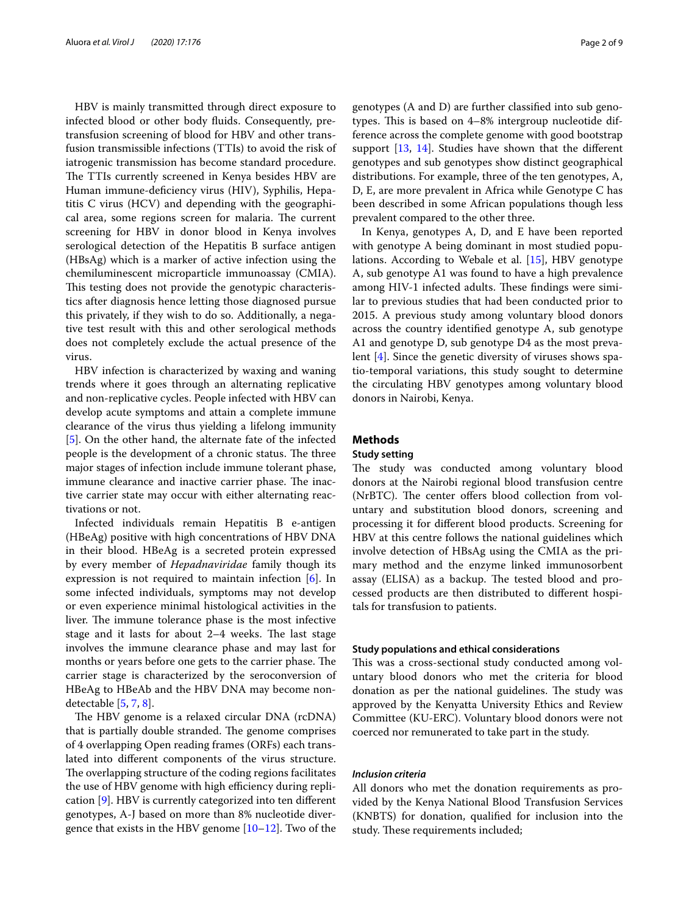HBV is mainly transmitted through direct exposure to infected blood or other body fuids. Consequently, pretransfusion screening of blood for HBV and other transfusion transmissible infections (TTIs) to avoid the risk of iatrogenic transmission has become standard procedure. The TTIs currently screened in Kenya besides HBV are Human immune-defciency virus (HIV), Syphilis, Hepatitis C virus (HCV) and depending with the geographical area, some regions screen for malaria. The current screening for HBV in donor blood in Kenya involves serological detection of the Hepatitis B surface antigen (HBsAg) which is a marker of active infection using the chemiluminescent microparticle immunoassay (CMIA). This testing does not provide the genotypic characteristics after diagnosis hence letting those diagnosed pursue this privately, if they wish to do so. Additionally, a negative test result with this and other serological methods does not completely exclude the actual presence of the virus.

HBV infection is characterized by waxing and waning trends where it goes through an alternating replicative and non-replicative cycles. People infected with HBV can develop acute symptoms and attain a complete immune clearance of the virus thus yielding a lifelong immunity [[5\]](#page-8-0). On the other hand, the alternate fate of the infected people is the development of a chronic status. The three major stages of infection include immune tolerant phase, immune clearance and inactive carrier phase. The inactive carrier state may occur with either alternating reactivations or not.

Infected individuals remain Hepatitis B e-antigen (HBeAg) positive with high concentrations of HBV DNA in their blood. HBeAg is a secreted protein expressed by every member of *Hepadnaviridae* family though its expression is not required to maintain infection [[6](#page-8-1)]. In some infected individuals, symptoms may not develop or even experience minimal histological activities in the liver. The immune tolerance phase is the most infective stage and it lasts for about  $2-4$  weeks. The last stage involves the immune clearance phase and may last for months or years before one gets to the carrier phase. The carrier stage is characterized by the seroconversion of HBeAg to HBeAb and the HBV DNA may become nondetectable [\[5](#page-8-0), [7](#page-8-2), [8\]](#page-8-3).

The HBV genome is a relaxed circular DNA (rcDNA) that is partially double stranded. The genome comprises of 4 overlapping Open reading frames (ORFs) each translated into diferent components of the virus structure. The overlapping structure of the coding regions facilitates the use of HBV genome with high efficiency during replication [[9\]](#page-8-4). HBV is currently categorized into ten diferent genotypes, A-J based on more than 8% nucleotide divergence that exists in the HBV genome [\[10](#page-8-5)–[12\]](#page-8-6). Two of the genotypes (A and D) are further classifed into sub genotypes. This is based on  $4-8\%$  intergroup nucleotide difference across the complete genome with good bootstrap support [[13,](#page-8-7) [14\]](#page-8-8). Studies have shown that the diferent genotypes and sub genotypes show distinct geographical distributions. For example, three of the ten genotypes, A, D, E, are more prevalent in Africa while Genotype C has been described in some African populations though less prevalent compared to the other three.

In Kenya, genotypes A, D, and E have been reported with genotype A being dominant in most studied populations. According to Webale et al. [\[15\]](#page-8-9), HBV genotype A, sub genotype A1 was found to have a high prevalence among HIV-1 infected adults. These findings were similar to previous studies that had been conducted prior to 2015. A previous study among voluntary blood donors across the country identifed genotype A, sub genotype A1 and genotype D, sub genotype D4 as the most prevalent [\[4](#page-7-2)]. Since the genetic diversity of viruses shows spatio-temporal variations, this study sought to determine the circulating HBV genotypes among voluntary blood donors in Nairobi, Kenya.

# **Methods**

#### **Study setting**

The study was conducted among voluntary blood donors at the Nairobi regional blood transfusion centre (NrBTC). The center offers blood collection from voluntary and substitution blood donors, screening and processing it for diferent blood products. Screening for HBV at this centre follows the national guidelines which involve detection of HBsAg using the CMIA as the primary method and the enzyme linked immunosorbent assay (ELISA) as a backup. The tested blood and processed products are then distributed to diferent hospitals for transfusion to patients.

# **Study populations and ethical considerations**

This was a cross-sectional study conducted among voluntary blood donors who met the criteria for blood donation as per the national guidelines. The study was approved by the Kenyatta University Ethics and Review Committee (KU-ERC). Voluntary blood donors were not coerced nor remunerated to take part in the study.

# *Inclusion criteria*

All donors who met the donation requirements as provided by the Kenya National Blood Transfusion Services (KNBTS) for donation, qualifed for inclusion into the study. These requirements included;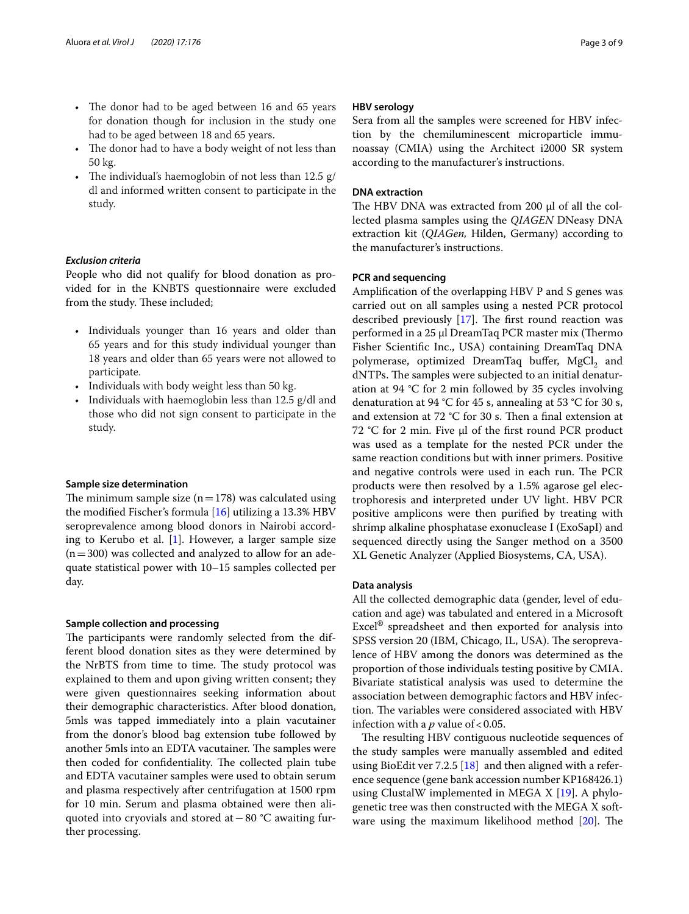- The donor had to be aged between 16 and 65 years for donation though for inclusion in the study one had to be aged between 18 and 65 years.
- The donor had to have a body weight of not less than 50 kg.
- The individual's haemoglobin of not less than  $12.5$  g/ dl and informed written consent to participate in the study.

# *Exclusion criteria*

People who did not qualify for blood donation as provided for in the KNBTS questionnaire were excluded from the study. These included;

- Individuals younger than 16 years and older than 65 years and for this study individual younger than 18 years and older than 65 years were not allowed to participate.
- Individuals with body weight less than 50 kg.
- Individuals with haemoglobin less than 12.5 g/dl and those who did not sign consent to participate in the study.

# **Sample size determination**

The minimum sample size  $(n=178)$  was calculated using the modifed Fischer's formula [\[16\]](#page-8-10) utilizing a 13.3% HBV seroprevalence among blood donors in Nairobi according to Kerubo et al.  $[1]$  $[1]$ . However, a larger sample size  $(n=300)$  was collected and analyzed to allow for an adequate statistical power with 10–15 samples collected per day.

#### **Sample collection and processing**

The participants were randomly selected from the different blood donation sites as they were determined by the NrBTS from time to time. The study protocol was explained to them and upon giving written consent; they were given questionnaires seeking information about their demographic characteristics. After blood donation, 5mls was tapped immediately into a plain vacutainer from the donor's blood bag extension tube followed by another 5mls into an EDTA vacutainer. The samples were then coded for confidentiality. The collected plain tube and EDTA vacutainer samples were used to obtain serum and plasma respectively after centrifugation at 1500 rpm for 10 min. Serum and plasma obtained were then aliquoted into cryovials and stored at−80 °C awaiting further processing.

# **HBV serology**

Sera from all the samples were screened for HBV infection by the chemiluminescent microparticle immunoassay (CMIA) using the Architect i2000 SR system according to the manufacturer's instructions.

# **DNA extraction**

The HBV DNA was extracted from 200  $\mu$ l of all the collected plasma samples using the *QIAGEN* DNeasy DNA extraction kit (*QIAGen,* Hilden, Germany) according to the manufacturer's instructions.

# **PCR and sequencing**

Amplifcation of the overlapping HBV P and S genes was carried out on all samples using a nested PCR protocol described previously  $[17]$  $[17]$ . The first round reaction was performed in a  $25 \mu$ l DreamTaq PCR master mix (Thermo Fisher Scientifc Inc., USA) containing DreamTaq DNA polymerase, optimized DreamTaq buffer, MgCl<sub>2</sub> and dNTPs. The samples were subjected to an initial denaturation at 94 °C for 2 min followed by 35 cycles involving denaturation at 94 °C for 45 s, annealing at 53 °C for 30 s, and extension at 72 °C for 30 s. Then a final extension at 72 °C for 2 min. Five µl of the first round PCR product was used as a template for the nested PCR under the same reaction conditions but with inner primers. Positive and negative controls were used in each run. The PCR products were then resolved by a 1.5% agarose gel electrophoresis and interpreted under UV light. HBV PCR positive amplicons were then purifed by treating with shrimp alkaline phosphatase exonuclease I (ExoSapI) and sequenced directly using the Sanger method on a 3500 XL Genetic Analyzer (Applied Biosystems, CA, USA).

# **Data analysis**

All the collected demographic data (gender, level of education and age) was tabulated and entered in a Microsoft Excel® spreadsheet and then exported for analysis into SPSS version 20 (IBM, Chicago, IL, USA). The seroprevalence of HBV among the donors was determined as the proportion of those individuals testing positive by CMIA. Bivariate statistical analysis was used to determine the association between demographic factors and HBV infection. The variables were considered associated with HBV infection with a  $p$  value of < 0.05.

The resulting HBV contiguous nucleotide sequences of the study samples were manually assembled and edited using BioEdit ver 7.2.5 [\[18](#page-8-12)] and then aligned with a reference sequence (gene bank accession number KP168426.1) using ClustalW implemented in MEGA X [\[19](#page-8-13)]. A phylogenetic tree was then constructed with the MEGA X software using the maximum likelihood method  $[20]$  $[20]$  $[20]$ . The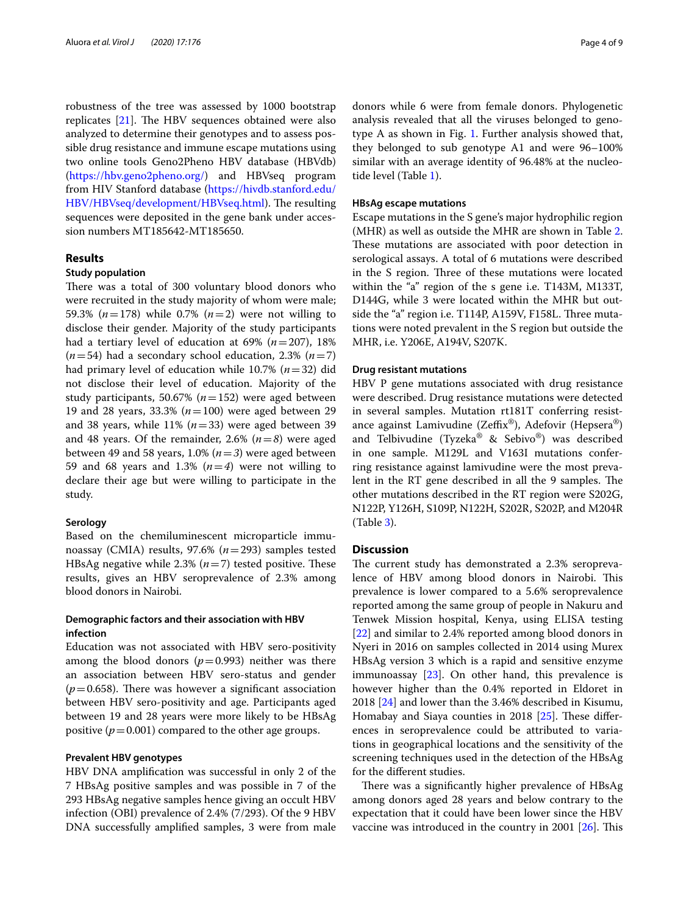robustness of the tree was assessed by 1000 bootstrap replicates  $[21]$  $[21]$ . The HBV sequences obtained were also analyzed to determine their genotypes and to assess possible drug resistance and immune escape mutations using two online tools Geno2Pheno HBV database (HBVdb) ([https://hbv.geno2pheno.org/\)](https://hbv.geno2pheno.org/) and HBVseq program from HIV Stanford database ([https://hivdb.stanford.edu/](https://hivdb.stanford.edu/HBV/HBVseq/development/HBVseq.html) [HBV/HBVseq/development/HBVseq.html\)](https://hivdb.stanford.edu/HBV/HBVseq/development/HBVseq.html). The resulting sequences were deposited in the gene bank under accession numbers MT185642-MT185650.

# **Results**

# **Study population**

There was a total of 300 voluntary blood donors who were recruited in the study majority of whom were male; 59.3% (*n*=178) while 0.7% (*n*=2) were not willing to disclose their gender. Majority of the study participants had a tertiary level of education at 69% (*n*=207), 18%  $(n=54)$  had a secondary school education, 2.3%  $(n=7)$ had primary level of education while 10.7% (*n*=32) did not disclose their level of education. Majority of the study participants, 50.67%  $(n=152)$  were aged between 19 and 28 years, 33.3% (*n*=100) were aged between 29 and 38 years, while 11% (*n*=33) were aged between 39 and 48 years. Of the remainder, 2.6% (*n*=*8*) were aged between 49 and 58 years,  $1.0\%$  ( $n=3$ ) were aged between 59 and 68 years and 1.3%  $(n=4)$  were not willing to declare their age but were willing to participate in the study.

# **Serology**

Based on the chemiluminescent microparticle immunoassay (CMIA) results, 97.6% (*n*=293) samples tested HBsAg negative while  $2.3\%$  ( $n=7$ ) tested positive. These results, gives an HBV seroprevalence of 2.3% among blood donors in Nairobi.

# **Demographic factors and their association with HBV infection**

Education was not associated with HBV sero-positivity among the blood donors  $(p=0.993)$  neither was there an association between HBV sero-status and gender  $(p=0.658)$ . There was however a significant association between HBV sero-positivity and age. Participants aged between 19 and 28 years were more likely to be HBsAg positive  $(p=0.001)$  compared to the other age groups.

# **Prevalent HBV genotypes**

HBV DNA amplifcation was successful in only 2 of the 7 HBsAg positive samples and was possible in 7 of the 293 HBsAg negative samples hence giving an occult HBV infection (OBI) prevalence of 2.4% (7/293). Of the 9 HBV DNA successfully amplifed samples, 3 were from male donors while 6 were from female donors. Phylogenetic analysis revealed that all the viruses belonged to genotype A as shown in Fig. [1](#page-4-0). Further analysis showed that, they belonged to sub genotype A1 and were 96–100% similar with an average identity of 96.48% at the nucleotide level (Table [1](#page-5-0)).

# **HBsAg escape mutations**

Escape mutations in the S gene's major hydrophilic region (MHR) as well as outside the MHR are shown in Table [2](#page-5-1). These mutations are associated with poor detection in serological assays. A total of 6 mutations were described in the S region. Three of these mutations were located within the "a" region of the s gene i.e. T143M, M133T, D144G, while 3 were located within the MHR but outside the "a" region i.e. T114P, A159V, F158L. Three mutations were noted prevalent in the S region but outside the MHR, i.e. Y206E, A194V, S207K.

## **Drug resistant mutations**

HBV P gene mutations associated with drug resistance were described. Drug resistance mutations were detected in several samples. Mutation rt181T conferring resistance against Lamivudine ( $Z\text{effix}^{\circledast}$ ), Adefovir (Hepsera<sup>®</sup>) and Telbivudine (Tyzeka® & Sebivo®) was described in one sample. M129L and V163I mutations conferring resistance against lamivudine were the most prevalent in the RT gene described in all the 9 samples. The other mutations described in the RT region were S202G, N122P, Y126H, S109P, N122H, S202R, S202P, and M204R (Table [3\)](#page-6-0).

# **Discussion**

The current study has demonstrated a 2.3% seroprevalence of HBV among blood donors in Nairobi. This prevalence is lower compared to a 5.6% seroprevalence reported among the same group of people in Nakuru and Tenwek Mission hospital, Kenya, using ELISA testing [[22\]](#page-8-16) and similar to 2.4% reported among blood donors in Nyeri in 2016 on samples collected in 2014 using Murex HBsAg version 3 which is a rapid and sensitive enzyme immunoassay  $[23]$ . On other hand, this prevalence is however higher than the 0.4% reported in Eldoret in 2018 [\[24\]](#page-8-18) and lower than the 3.46% described in Kisumu, Homabay and Siaya counties in  $2018$   $[25]$  $[25]$ . These differences in seroprevalence could be attributed to variations in geographical locations and the sensitivity of the screening techniques used in the detection of the HBsAg for the diferent studies.

There was a significantly higher prevalence of HBsAg among donors aged 28 years and below contrary to the expectation that it could have been lower since the HBV vaccine was introduced in the country in 2001  $[26]$  $[26]$ . This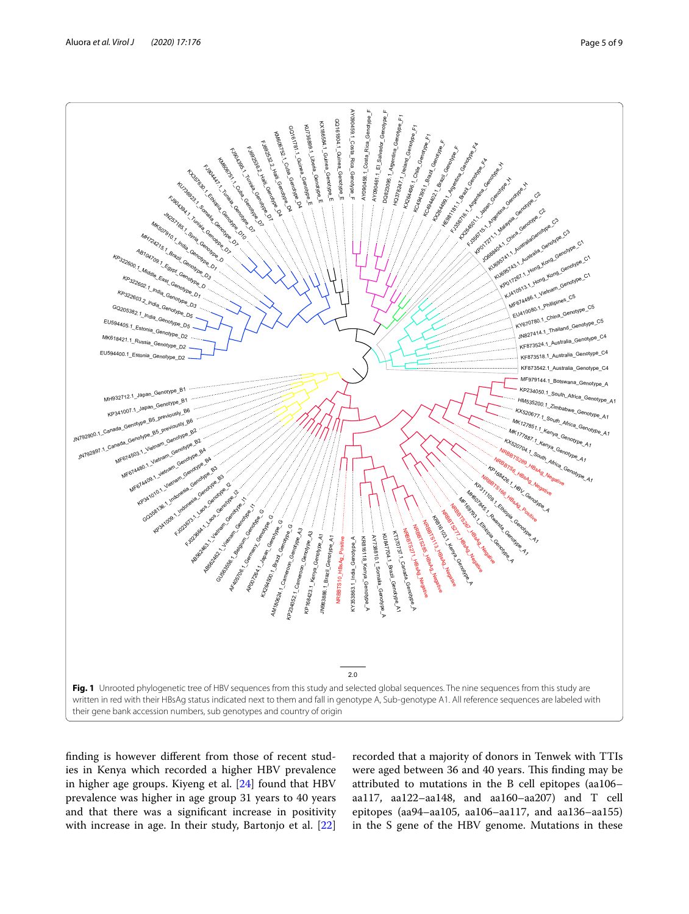

<span id="page-4-0"></span>fnding is however diferent from those of recent studies in Kenya which recorded a higher HBV prevalence in higher age groups. Kiyeng et al. [\[24\]](#page-8-18) found that HBV prevalence was higher in age group 31 years to 40 years and that there was a signifcant increase in positivity with increase in age. In their study, Bartonjo et al. [[22](#page-8-16)] recorded that a majority of donors in Tenwek with TTIs were aged between 36 and 40 years. This finding may be attributed to mutations in the B cell epitopes (aa106– aa117, aa122–aa148, and aa160–aa207) and T cell epitopes (aa94–aa105, aa106–aa117, and aa136–aa155) in the S gene of the HBV genome. Mutations in these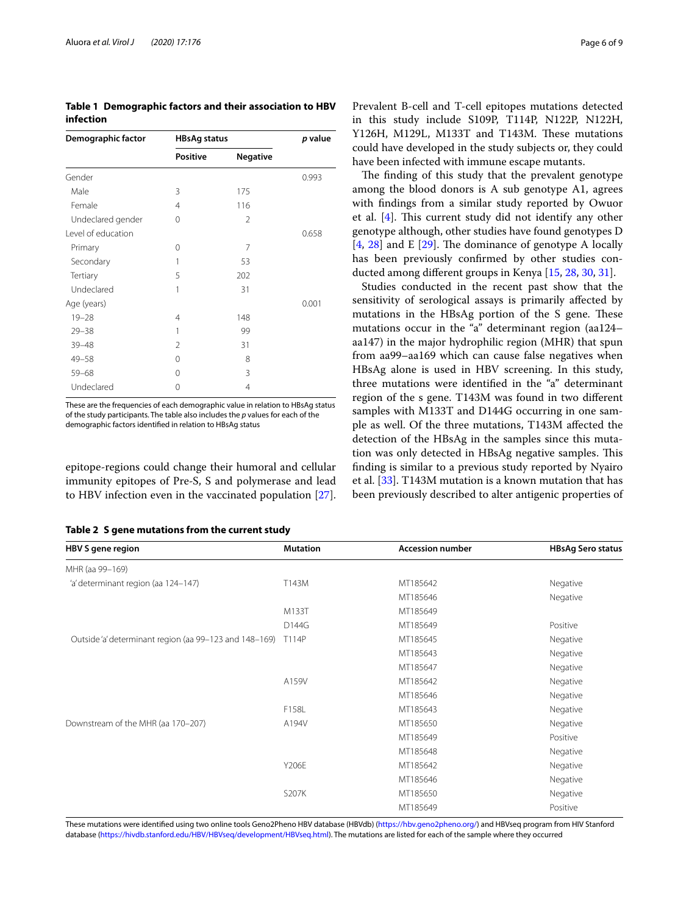<span id="page-5-0"></span>**Table 1 Demographic factors and their association to HBV infection**

| Demographic factor | <b>HBsAg status</b> |                 | p value |
|--------------------|---------------------|-----------------|---------|
|                    | <b>Positive</b>     | <b>Negative</b> |         |
| Gender             |                     |                 | 0.993   |
| Male               | 3                   | 175             |         |
| Female             | 4                   | 116             |         |
| Undeclared gender  | $\Omega$            | $\mathfrak{D}$  |         |
| Level of education |                     |                 | 0.658   |
| Primary            | 0                   | 7               |         |
| Secondary          | 1                   | 53              |         |
| Tertiary           | 5                   | 202             |         |
| Undeclared         | 1                   | 31              |         |
| Age (years)        |                     |                 | 0.001   |
| $19 - 28$          | 4                   | 148             |         |
| $29 - 38$          | 1                   | 99              |         |
| $39 - 48$          | 2                   | 31              |         |
| $49 - 58$          | $\Omega$            | 8               |         |
| $59 - 68$          | $\Omega$            | 3               |         |
| Undeclared         | $\Omega$            | 4               |         |

These are the frequencies of each demographic value in relation to HBsAg status of the study participants. The table also includes the *p* values for each of the demographic factors identifed in relation to HBsAg status

epitope-regions could change their humoral and cellular immunity epitopes of Pre-S, S and polymerase and lead to HBV infection even in the vaccinated population [\[27](#page-8-21)].

<span id="page-5-1"></span>

|  |  |  | Table 2 S gene mutations from the current study |
|--|--|--|-------------------------------------------------|
|--|--|--|-------------------------------------------------|

Prevalent B-cell and T-cell epitopes mutations detected in this study include S109P, T114P, N122P, N122H, Y126H, M129L, M133T and T143M. These mutations could have developed in the study subjects or, they could have been infected with immune escape mutants.

The finding of this study that the prevalent genotype among the blood donors is A sub genotype A1, agrees with fndings from a similar study reported by Owuor et al.  $[4]$  $[4]$ . This current study did not identify any other genotype although, other studies have found genotypes D [[4,](#page-7-2) [28](#page-8-22)] and E  $[29]$  $[29]$  $[29]$ . The dominance of genotype A locally has been previously confrmed by other studies conducted among diferent groups in Kenya [\[15](#page-8-9), [28](#page-8-22), [30,](#page-8-24) [31](#page-8-25)].

Studies conducted in the recent past show that the sensitivity of serological assays is primarily afected by mutations in the HBsAg portion of the S gene. These mutations occur in the "a" determinant region (aa124– aa147) in the major hydrophilic region (MHR) that spun from aa99–aa169 which can cause false negatives when HBsAg alone is used in HBV screening. In this study, three mutations were identifed in the "a" determinant region of the s gene. T143M was found in two diferent samples with M133T and D144G occurring in one sample as well. Of the three mutations, T143M afected the detection of the HBsAg in the samples since this mutation was only detected in HBsAg negative samples. This fnding is similar to a previous study reported by Nyairo et al. [[33\]](#page-8-26). T143M mutation is a known mutation that has been previously described to alter antigenic properties of

| <b>HBV S</b> gene region                               | <b>Mutation</b> | <b>Accession number</b> | <b>HBsAg Sero status</b> |
|--------------------------------------------------------|-----------------|-------------------------|--------------------------|
| MHR (aa 99-169)                                        |                 |                         |                          |
| 'a' determinant region (aa 124-147)                    | T143M           | MT185642                | Negative                 |
|                                                        |                 | MT185646                | Negative                 |
|                                                        | M133T           | MT185649                |                          |
|                                                        | D144G           | MT185649                | Positive                 |
| Outside 'a' determinant region (aa 99-123 and 148-169) | T114P           | MT185645                | Negative                 |
|                                                        |                 | MT185643                | Negative                 |
|                                                        |                 | MT185647                | Negative                 |
|                                                        | A159V           | MT185642                | Negative                 |
|                                                        |                 | MT185646                | Negative                 |
|                                                        | F158L           | MT185643                | Negative                 |
| Downstream of the MHR (aa 170-207)                     | A194V           | MT185650                | Negative                 |
|                                                        |                 | MT185649                | Positive                 |
|                                                        |                 | MT185648                | Negative                 |
|                                                        | Y206E           | MT185642                | Negative                 |
|                                                        |                 | MT185646                | Negative                 |
|                                                        | S207K           | MT185650                | Negative                 |
|                                                        |                 | MT185649                | Positive                 |

These mutations were identifed using two online tools Geno2Pheno HBV database (HBVdb) (<https://hbv.geno2pheno.org/>) and HBVseq program from HIV Stanford database (<https://hivdb.stanford.edu/HBV/HBVseq/development/HBVseq.html>). The mutations are listed for each of the sample where they occurred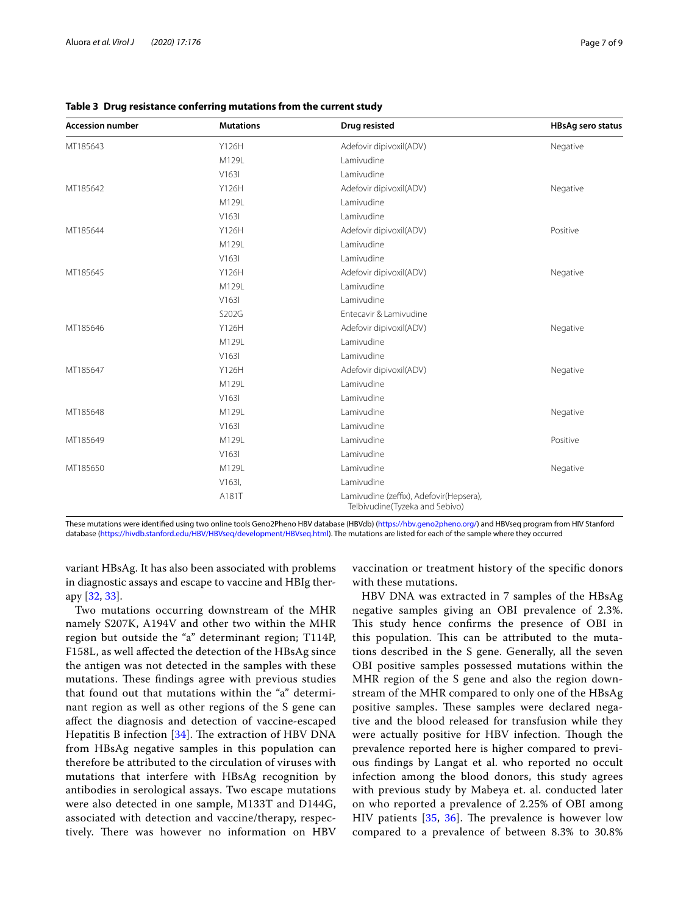| <b>Accession number</b> | <b>Mutations</b> | Drug resisted                                                             | <b>HBsAg sero status</b> |
|-------------------------|------------------|---------------------------------------------------------------------------|--------------------------|
| MT185643                | Y126H            | Adefovir dipivoxil(ADV)                                                   | Negative                 |
|                         | M129L            | Lamivudine                                                                |                          |
|                         | V163I            | Lamivudine                                                                |                          |
| MT185642                | Y126H            | Adefovir dipivoxil(ADV)                                                   | Negative                 |
|                         | M129L            | Lamivudine                                                                |                          |
|                         | V163I            | Lamivudine                                                                |                          |
| MT185644                | Y126H            | Adefovir dipivoxil(ADV)                                                   | Positive                 |
|                         | M129L            | Lamivudine                                                                |                          |
|                         | V163I            | Lamivudine                                                                |                          |
| MT185645                | Y126H            | Adefovir dipivoxil(ADV)                                                   | Negative                 |
|                         | M129L            | Lamivudine                                                                |                          |
|                         | V163I            | Lamivudine                                                                |                          |
|                         | S202G            | Entecavir & Lamivudine                                                    |                          |
| MT185646                | Y126H            | Adefovir dipivoxil(ADV)                                                   | Negative                 |
|                         | M129L            | Lamivudine                                                                |                          |
|                         | V163I            | Lamivudine                                                                |                          |
| MT185647                | Y126H            | Adefovir dipivoxil(ADV)                                                   | Negative                 |
|                         | M129L            | Lamivudine                                                                |                          |
|                         | V163I            | Lamivudine                                                                |                          |
| MT185648                | M129L            | Lamivudine                                                                | Negative                 |
|                         | V163I            | Lamivudine                                                                |                          |
| MT185649                | M129L            | Lamivudine                                                                | Positive                 |
|                         | V163I            | Lamivudine                                                                |                          |
| MT185650                | M129L            | Lamivudine                                                                | Negative                 |
|                         | V163I,           | Lamivudine                                                                |                          |
|                         | A181T            | Lamivudine (zeffix), Adefovir(Hepsera),<br>Telbivudine(Tyzeka and Sebivo) |                          |

<span id="page-6-0"></span>**Table 3 Drug resistance conferring mutations from the current study**

These mutations were identified using two online tools Geno2Pheno HBV database (HBVdb) (<https://hbv.geno2pheno.org/>) and HBVseq program from HIV Stanford database (<https://hivdb.stanford.edu/HBV/HBVseq/development/HBVseq.html>). The mutations are listed for each of the sample where they occurred

variant HBsAg. It has also been associated with problems in diagnostic assays and escape to vaccine and HBIg therapy [\[32](#page-8-27), [33\]](#page-8-26).

Two mutations occurring downstream of the MHR namely S207K, A194V and other two within the MHR region but outside the "a" determinant region; T114P, F158L, as well afected the detection of the HBsAg since the antigen was not detected in the samples with these mutations. These findings agree with previous studies that found out that mutations within the "a" determinant region as well as other regions of the S gene can afect the diagnosis and detection of vaccine-escaped Hepatitis B infection  $[34]$  $[34]$  $[34]$ . The extraction of HBV DNA from HBsAg negative samples in this population can therefore be attributed to the circulation of viruses with mutations that interfere with HBsAg recognition by antibodies in serological assays. Two escape mutations were also detected in one sample, M133T and D144G, associated with detection and vaccine/therapy, respectively. There was however no information on HBV vaccination or treatment history of the specifc donors with these mutations.

HBV DNA was extracted in 7 samples of the HBsAg negative samples giving an OBI prevalence of 2.3%. This study hence confirms the presence of OBI in this population. This can be attributed to the mutations described in the S gene. Generally, all the seven OBI positive samples possessed mutations within the MHR region of the S gene and also the region downstream of the MHR compared to only one of the HBsAg positive samples. These samples were declared negative and the blood released for transfusion while they were actually positive for HBV infection. Though the prevalence reported here is higher compared to previous fndings by Langat et al. who reported no occult infection among the blood donors, this study agrees with previous study by Mabeya et. al. conducted later on who reported a prevalence of 2.25% of OBI among HIV patients  $[35, 36]$  $[35, 36]$  $[35, 36]$  $[35, 36]$  $[35, 36]$ . The prevalence is however low compared to a prevalence of between 8.3% to 30.8%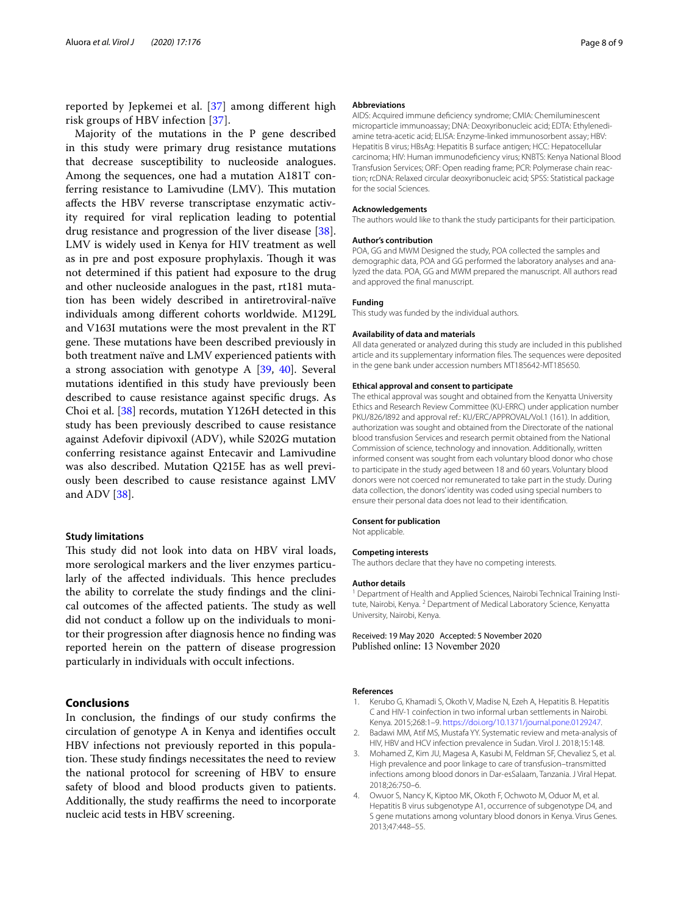reported by Jepkemei et al. [\[37](#page-8-31)] among diferent high risk groups of HBV infection [[37\]](#page-8-31).

Majority of the mutations in the P gene described in this study were primary drug resistance mutations that decrease susceptibility to nucleoside analogues. Among the sequences, one had a mutation A181T conferring resistance to Lamivudine (LMV). This mutation afects the HBV reverse transcriptase enzymatic activity required for viral replication leading to potential drug resistance and progression of the liver disease [\[38](#page-8-32)]. LMV is widely used in Kenya for HIV treatment as well as in pre and post exposure prophylaxis. Though it was not determined if this patient had exposure to the drug and other nucleoside analogues in the past, rt181 mutation has been widely described in antiretroviral-naïve individuals among diferent cohorts worldwide. M129L and V163I mutations were the most prevalent in the RT gene. These mutations have been described previously in both treatment naïve and LMV experienced patients with a strong association with genotype  $A$  [[39,](#page-8-33) [40](#page-8-34)]. Several mutations identifed in this study have previously been described to cause resistance against specifc drugs. As Choi et al. [[38](#page-8-32)] records, mutation Y126H detected in this study has been previously described to cause resistance against Adefovir dipivoxil (ADV), while S202G mutation conferring resistance against Entecavir and Lamivudine was also described. Mutation Q215E has as well previously been described to cause resistance against LMV and ADV [[38\]](#page-8-32).

### **Study limitations**

This study did not look into data on HBV viral loads, more serological markers and the liver enzymes particularly of the affected individuals. This hence precludes the ability to correlate the study fndings and the clinical outcomes of the affected patients. The study as well did not conduct a follow up on the individuals to monitor their progression after diagnosis hence no fnding was reported herein on the pattern of disease progression particularly in individuals with occult infections.

# **Conclusions**

In conclusion, the fndings of our study confrms the circulation of genotype A in Kenya and identifes occult HBV infections not previously reported in this population. These study findings necessitates the need to review the national protocol for screening of HBV to ensure safety of blood and blood products given to patients. Additionally, the study reaffirms the need to incorporate nucleic acid tests in HBV screening.

#### **Abbreviations**

AIDS: Acquired immune defciency syndrome; CMIA: Chemiluminescent microparticle immunoassay; DNA: Deoxyribonucleic acid; EDTA: Ethylenediamine tetra-acetic acid; ELISA: Enzyme-linked immunosorbent assay; HBV: Hepatitis B virus; HBsAg: Hepatitis B surface antigen; HCC: Hepatocellular carcinoma; HIV: Human immunodefciency virus; KNBTS: Kenya National Blood Transfusion Services; ORF: Open reading frame; PCR: Polymerase chain reaction; rcDNA: Relaxed circular deoxyribonucleic acid; SPSS: Statistical package for the social Sciences.

#### **Acknowledgements**

The authors would like to thank the study participants for their participation.

#### **Author's contribution**

POA, GG and MWM Designed the study, POA collected the samples and demographic data, POA and GG performed the laboratory analyses and analyzed the data. POA, GG and MWM prepared the manuscript. All authors read and approved the fnal manuscript.

#### **Funding**

This study was funded by the individual authors.

#### **Availability of data and materials**

All data generated or analyzed during this study are included in this published article and its supplementary information fles. The sequences were deposited in the gene bank under accession numbers MT185642-MT185650.

#### **Ethical approval and consent to participate**

The ethical approval was sought and obtained from the Kenyatta University Ethics and Research Review Committee (KU-ERRC) under application number PKU/826/I892 and approval ref.: KU/ERC/APPROVAL/Vol.1 (161). In addition, authorization was sought and obtained from the Directorate of the national blood transfusion Services and research permit obtained from the National Commission of science, technology and innovation. Additionally, written informed consent was sought from each voluntary blood donor who chose to participate in the study aged between 18 and 60 years. Voluntary blood donors were not coerced nor remunerated to take part in the study. During data collection, the donors' identity was coded using special numbers to ensure their personal data does not lead to their identifcation.

#### **Consent for publication**

Not applicable.

#### **Competing interests**

The authors declare that they have no competing interests.

#### **Author details**

<sup>1</sup> Department of Health and Applied Sciences, Nairobi Technical Training Institute, Nairobi, Kenya. <sup>2</sup> Department of Medical Laboratory Science, Kenyatta University, Nairobi, Kenya.

Received: 19 May 2020 Accepted: 5 November 2020 Published online: 13 November 2020

#### **References**

- <span id="page-7-0"></span>1. Kerubo G, Khamadi S, Okoth V, Madise N, Ezeh A, Hepatitis B. Hepatitis C and HIV-1 coinfection in two informal urban settlements in Nairobi. Kenya. 2015;268:1–9. [https://doi.org/10.1371/journal.pone.0129247.](https://doi.org/10.1371/journal.pone.0129247)
- 2. Badawi MM, Atif MS, Mustafa YY. Systematic review and meta-analysis of HIV, HBV and HCV infection prevalence in Sudan. Virol J. 2018;15:148.
- <span id="page-7-1"></span>3. Mohamed Z, Kim JU, Magesa A, Kasubi M, Feldman SF, Chevaliez S, et al. High prevalence and poor linkage to care of transfusion–transmitted infections among blood donors in Dar-esSalaam, Tanzania. J Viral Hepat. 2018;26:750–6.
- <span id="page-7-2"></span>4. Owuor S, Nancy K, Kiptoo MK, Okoth F, Ochwoto M, Oduor M, et al. Hepatitis B virus subgenotype A1, occurrence of subgenotype D4, and S gene mutations among voluntary blood donors in Kenya. Virus Genes. 2013;47:448–55.